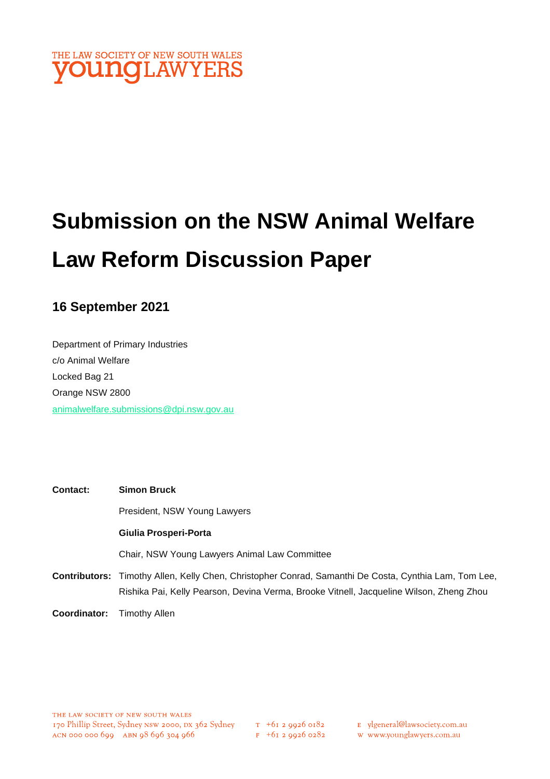

# **Submission on the NSW Animal Welfare Law Reform Discussion Paper**

### **16 September 2021**

Department of Primary Industries c/o Animal Welfare Locked Bag 21 Orange NSW 2800 [animalwelfare.submissions@dpi.nsw.gov.au](mailto:animalwelfare.submissions@dpi.nsw.gov.au)

| <b>Contact:</b> | <b>Simon Bruck</b>                                                                                    |
|-----------------|-------------------------------------------------------------------------------------------------------|
|                 | President, NSW Young Lawyers                                                                          |
|                 | Giulia Prosperi-Porta                                                                                 |
|                 | Chair, NSW Young Lawyers Animal Law Committee                                                         |
|                 | Contributors: Timothy Allen, Kelly Chen, Christopher Conrad, Samanthi De Costa, Cynthia Lam, Tom Lee, |
|                 | Rishika Pai, Kelly Pearson, Devina Verma, Brooke Vitnell, Jacqueline Wilson, Zheng Zhou               |

**Coordinator:** Timothy Allen

- E ylgeneral@lawsociety.com.au
- w www.younglawyers.com.au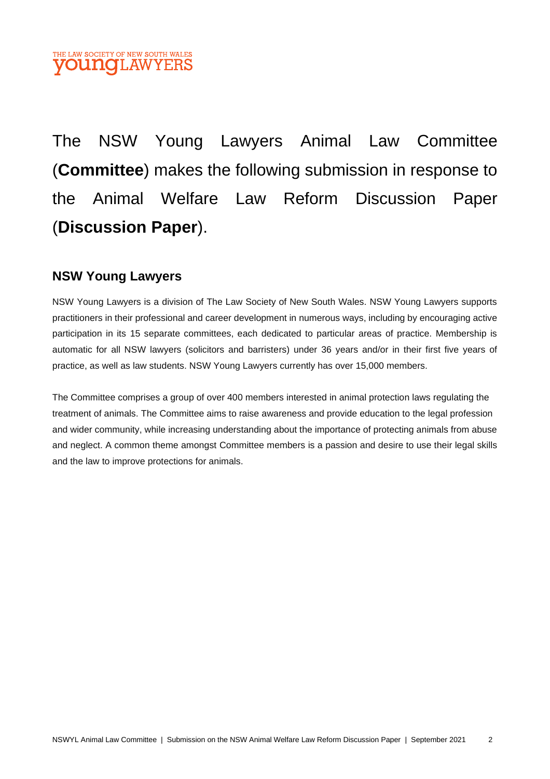#### THE LAW SOCIETY OF NEW SOUTH WALES **OUNGLAW**

The NSW Young Lawyers Animal Law Committee (**Committee**) makes the following submission in response to the Animal Welfare Law Reform Discussion Paper (**Discussion Paper**).

### **NSW Young Lawyers**

NSW Young Lawyers is a division of The Law Society of New South Wales. NSW Young Lawyers supports practitioners in their professional and career development in numerous ways, including by encouraging active participation in its 15 separate committees, each dedicated to particular areas of practice. Membership is automatic for all NSW lawyers (solicitors and barristers) under 36 years and/or in their first five years of practice, as well as law students. NSW Young Lawyers currently has over 15,000 members.

The Committee comprises a group of over 400 members interested in animal protection laws regulating the treatment of animals. The Committee aims to raise awareness and provide education to the legal profession and wider community, while increasing understanding about the importance of protecting animals from abuse and neglect. A common theme amongst Committee members is a passion and desire to use their legal skills and the law to improve protections for animals.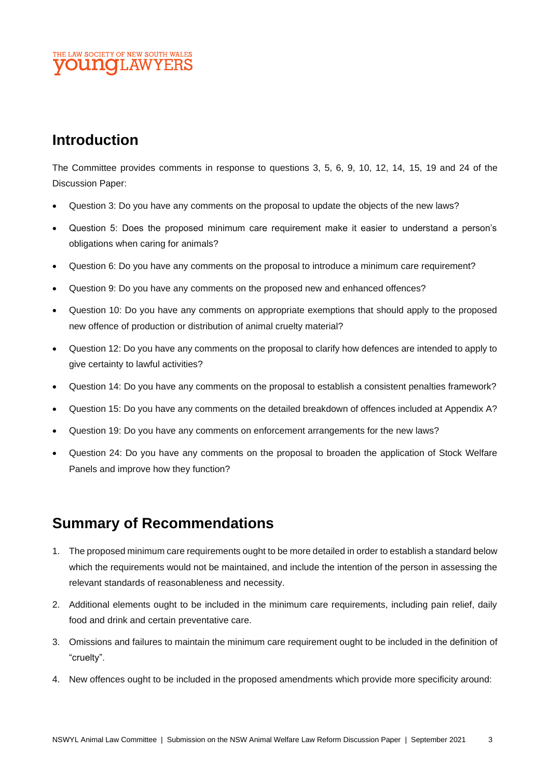#### THE LAW SOCIETY OF NEW SOUTH WALES **OUNOLAWYE**

# **Introduction**

The Committee provides comments in response to questions 3, 5, 6, 9, 10, 12, 14, 15, 19 and 24 of the Discussion Paper:

- Question 3: Do you have any comments on the proposal to update the objects of the new laws?
- Question 5: Does the proposed minimum care requirement make it easier to understand a person's obligations when caring for animals?
- Question 6: Do you have any comments on the proposal to introduce a minimum care requirement?
- Question 9: Do you have any comments on the proposed new and enhanced offences?
- Question 10: Do you have any comments on appropriate exemptions that should apply to the proposed new offence of production or distribution of animal cruelty material?
- Question 12: Do you have any comments on the proposal to clarify how defences are intended to apply to give certainty to lawful activities?
- Question 14: Do you have any comments on the proposal to establish a consistent penalties framework?
- Question 15: Do you have any comments on the detailed breakdown of offences included at Appendix A?
- Question 19: Do you have any comments on enforcement arrangements for the new laws?
- Question 24: Do you have any comments on the proposal to broaden the application of Stock Welfare Panels and improve how they function?

# **Summary of Recommendations**

- 1. The proposed minimum care requirements ought to be more detailed in order to establish a standard below which the requirements would not be maintained, and include the intention of the person in assessing the relevant standards of reasonableness and necessity.
- 2. Additional elements ought to be included in the minimum care requirements, including pain relief, daily food and drink and certain preventative care.
- 3. Omissions and failures to maintain the minimum care requirement ought to be included in the definition of "cruelty".
- 4. New offences ought to be included in the proposed amendments which provide more specificity around: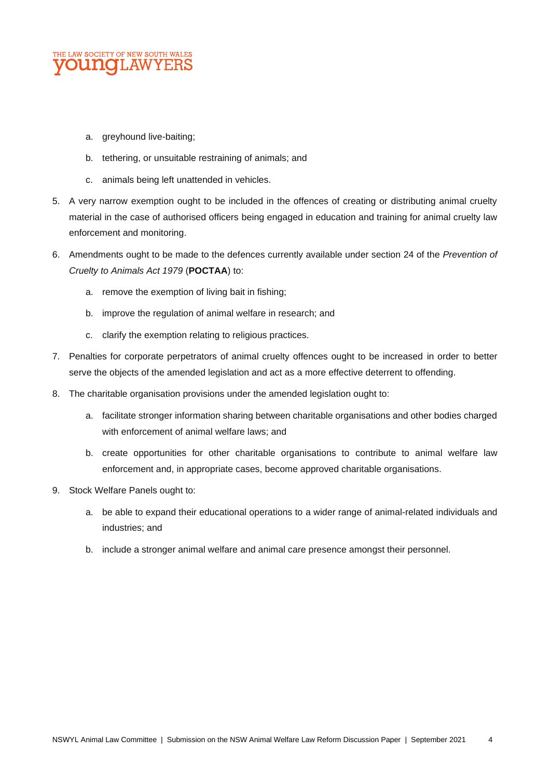

- a. greyhound live-baiting;
- b. tethering, or unsuitable restraining of animals; and
- c. animals being left unattended in vehicles.
- 5. A very narrow exemption ought to be included in the offences of creating or distributing animal cruelty material in the case of authorised officers being engaged in education and training for animal cruelty law enforcement and monitoring.
- 6. Amendments ought to be made to the defences currently available under section 24 of the *Prevention of Cruelty to Animals Act 1979* (**POCTAA**) to:
	- a. remove the exemption of living bait in fishing;
	- b. improve the regulation of animal welfare in research; and
	- c. clarify the exemption relating to religious practices.
- 7. Penalties for corporate perpetrators of animal cruelty offences ought to be increased in order to better serve the objects of the amended legislation and act as a more effective deterrent to offending.
- 8. The charitable organisation provisions under the amended legislation ought to:
	- a. facilitate stronger information sharing between charitable organisations and other bodies charged with enforcement of animal welfare laws; and
	- b. create opportunities for other charitable organisations to contribute to animal welfare law enforcement and, in appropriate cases, become approved charitable organisations.
- 9. Stock Welfare Panels ought to:
	- a. be able to expand their educational operations to a wider range of animal-related individuals and industries; and
	- b. include a stronger animal welfare and animal care presence amongst their personnel.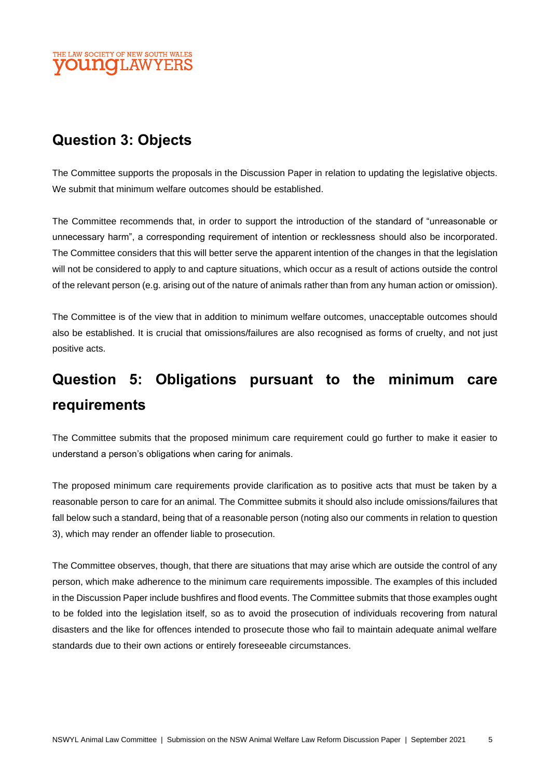

# **Question 3: Objects**

The Committee supports the proposals in the Discussion Paper in relation to updating the legislative objects. We submit that minimum welfare outcomes should be established.

The Committee recommends that, in order to support the introduction of the standard of "unreasonable or unnecessary harm", a corresponding requirement of intention or recklessness should also be incorporated. The Committee considers that this will better serve the apparent intention of the changes in that the legislation will not be considered to apply to and capture situations, which occur as a result of actions outside the control of the relevant person (e.g. arising out of the nature of animals rather than from any human action or omission).

The Committee is of the view that in addition to minimum welfare outcomes, unacceptable outcomes should also be established. It is crucial that omissions/failures are also recognised as forms of cruelty, and not just positive acts.

# **Question 5: Obligations pursuant to the minimum care requirements**

The Committee submits that the proposed minimum care requirement could go further to make it easier to understand a person's obligations when caring for animals.

The proposed minimum care requirements provide clarification as to positive acts that must be taken by a reasonable person to care for an animal. The Committee submits it should also include omissions/failures that fall below such a standard, being that of a reasonable person (noting also our comments in relation to question 3), which may render an offender liable to prosecution.

The Committee observes, though, that there are situations that may arise which are outside the control of any person, which make adherence to the minimum care requirements impossible. The examples of this included in the Discussion Paper include bushfires and flood events. The Committee submits that those examples ought to be folded into the legislation itself, so as to avoid the prosecution of individuals recovering from natural disasters and the like for offences intended to prosecute those who fail to maintain adequate animal welfare standards due to their own actions or entirely foreseeable circumstances.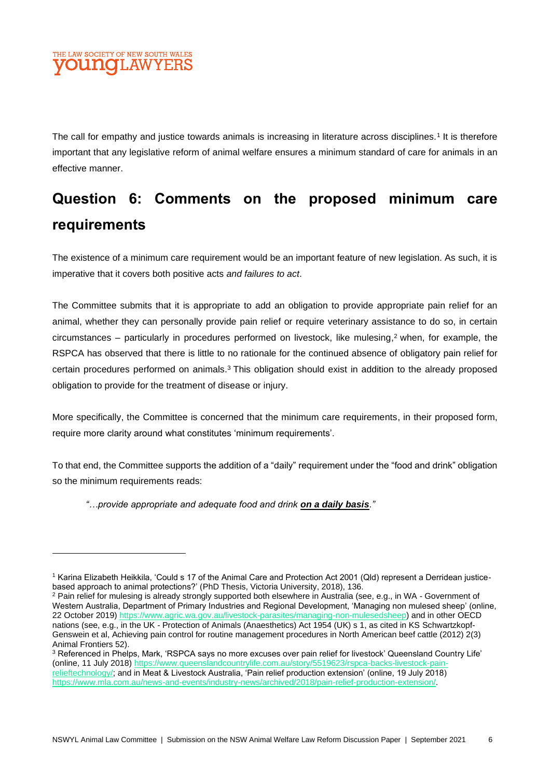#### E LAW SOCIETY OF NEW SOUTH WALES **UNOLAW**

The call for empathy and justice towards animals is increasing in literature across disciplines.1 It is therefore important that any legislative reform of animal welfare ensures a minimum standard of care for animals in an effective manner.

# **Question 6: Comments on the proposed minimum care requirements**

The existence of a minimum care requirement would be an important feature of new legislation. As such, it is imperative that it covers both positive acts *and failures to act*.

The Committee submits that it is appropriate to add an obligation to provide appropriate pain relief for an animal, whether they can personally provide pain relief or require veterinary assistance to do so, in certain circumstances – particularly in procedures performed on livestock, like mulesing, <sup>2</sup> when, for example, the RSPCA has observed that there is little to no rationale for the continued absence of obligatory pain relief for certain procedures performed on animals. <sup>3</sup> This obligation should exist in addition to the already proposed obligation to provide for the treatment of disease or injury.

More specifically, the Committee is concerned that the minimum care requirements, in their proposed form, require more clarity around what constitutes 'minimum requirements'.

To that end, the Committee supports the addition of a "daily" requirement under the "food and drink" obligation so the minimum requirements reads:

*"…provide appropriate and adequate food and drink on a daily basis."*

<sup>1</sup> Karina Elizabeth Heikkila, 'Could s 17 of the Animal Care and Protection Act 2001 (Qld) represent a Derridean justicebased approach to animal protections?' (PhD Thesis, Victoria University, 2018), 136.

<sup>&</sup>lt;sup>2</sup> Pain relief for mulesing is already strongly supported both elsewhere in Australia (see, e.g., in WA - Government of Western Australia, Department of Primary Industries and Regional Development, 'Managing non mulesed sheep' (online, 22 October 2019) [https://www.agric.wa.gov.au/livestock-parasites/managing-non-mulesedsheep\)](https://www.agric.wa.gov.au/livestock-parasites/managing-non-mulesedsheep) and in other OECD nations (see, e.g., in the UK - Protection of Animals (Anaesthetics) Act 1954 (UK) s 1, as cited in KS Schwartzkopf-Genswein et al, Achieving pain control for routine management procedures in North American beef cattle (2012) 2(3) Animal Frontiers 52).

<sup>3</sup> Referenced in Phelps, Mark, 'RSPCA says no more excuses over pain relief for livestock' Queensland Country Life' (online, 11 July 2018) [https://www.queenslandcountrylife.com.au/story/5519623/rspca-backs-livestock-pain](https://www.queenslandcountrylife.com.au/story/5519623/rspca-backs-livestock-pain-relieftechnology/)[relieftechnology/;](https://www.queenslandcountrylife.com.au/story/5519623/rspca-backs-livestock-pain-relieftechnology/) and in Meat & Livestock Australia, 'Pain relief production extension' (online, 19 July 2018) [https://www.mla.com.au/news-and-events/industry-news/archived/2018/pain-relief-production-extension/.](https://www.mla.com.au/news-and-events/industry-news/archived/2018/pain-relief-production-extension/)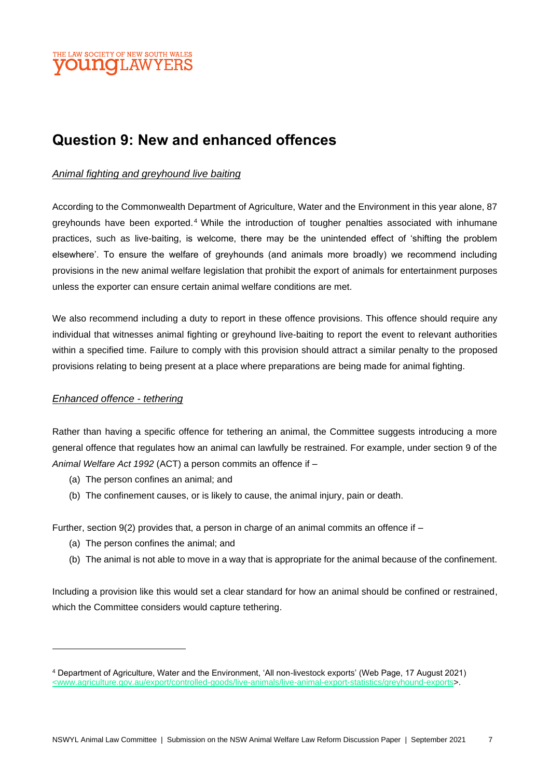#### E LAW SOCIETY OF NEW SOUTH WALES **OUINOLAW**

# **Question 9: New and enhanced offences**

#### *Animal fighting and greyhound live baiting*

According to the Commonwealth Department of Agriculture, Water and the Environment in this year alone, 87 greyhounds have been exported. <sup>4</sup> While the introduction of tougher penalties associated with inhumane practices, such as live-baiting, is welcome, there may be the unintended effect of 'shifting the problem elsewhere'. To ensure the welfare of greyhounds (and animals more broadly) we recommend including provisions in the new animal welfare legislation that prohibit the export of animals for entertainment purposes unless the exporter can ensure certain animal welfare conditions are met.

We also recommend including a duty to report in these offence provisions. This offence should require any individual that witnesses animal fighting or greyhound live-baiting to report the event to relevant authorities within a specified time. Failure to comply with this provision should attract a similar penalty to the proposed provisions relating to being present at a place where preparations are being made for animal fighting.

#### *Enhanced offence - tethering*

Rather than having a specific offence for tethering an animal, the Committee suggests introducing a more general offence that regulates how an animal can lawfully be restrained. For example, under section 9 of the *Animal Welfare Act 1992* (ACT) a person commits an offence if –

- (a) The person confines an animal; and
- (b) The confinement causes, or is likely to cause, the animal injury, pain or death.

Further, section 9(2) provides that, a person in charge of an animal commits an offence if –

- (a) The person confines the animal; and
- (b) The animal is not able to move in a way that is appropriate for the animal because of the confinement.

Including a provision like this would set a clear standard for how an animal should be confined or restrained, which the Committee considers would capture tethering.

<sup>4</sup> Department of Agriculture, Water and the Environment, 'All non-livestock exports' (Web Page, 17 August 2021) [<www.agriculture.gov.au/export/controlled-goods/live-animals/live-animal-export-statistics/greyhound-exports>](file:///C:/Users/61451/Downloads/%3cwww.agriculture.gov.au/export/controlled-goods/live-animals/live-animal-export-statistics/greyhound-exports).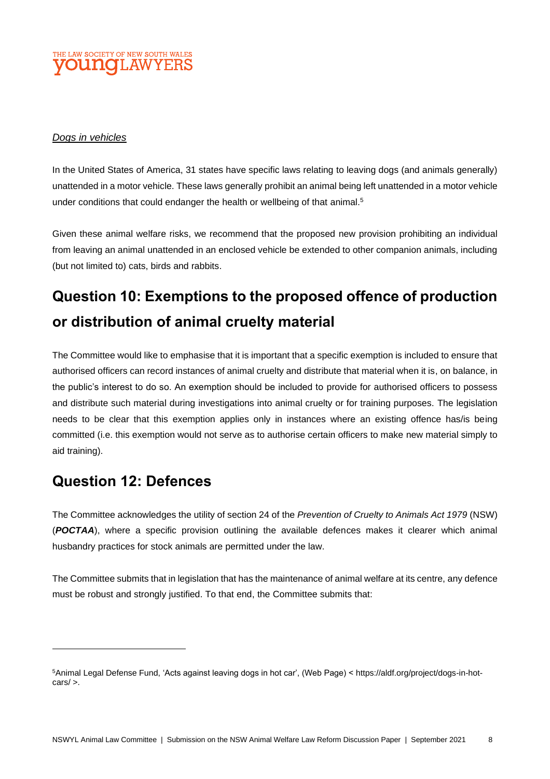

#### *Dogs in vehicles*

In the United States of America, 31 states have specific laws relating to leaving dogs (and animals generally) unattended in a motor vehicle. These laws generally prohibit an animal being left unattended in a motor vehicle under conditions that could endanger the health or wellbeing of that animal. 5

Given these animal welfare risks, we recommend that the proposed new provision prohibiting an individual from leaving an animal unattended in an enclosed vehicle be extended to other companion animals, including (but not limited to) cats, birds and rabbits.

# **Question 10: Exemptions to the proposed offence of production or distribution of animal cruelty material**

The Committee would like to emphasise that it is important that a specific exemption is included to ensure that authorised officers can record instances of animal cruelty and distribute that material when it is, on balance, in the public's interest to do so. An exemption should be included to provide for authorised officers to possess and distribute such material during investigations into animal cruelty or for training purposes. The legislation needs to be clear that this exemption applies only in instances where an existing offence has/is being committed (i.e. this exemption would not serve as to authorise certain officers to make new material simply to aid training).

### **Question 12: Defences**

The Committee acknowledges the utility of section 24 of the *Prevention of Cruelty to Animals Act 1979* (NSW) (*POCTAA*), where a specific provision outlining the available defences makes it clearer which animal husbandry practices for stock animals are permitted under the law.

The Committee submits that in legislation that has the maintenance of animal welfare at its centre, any defence must be robust and strongly justified. To that end, the Committee submits that:

<sup>5</sup>Animal Legal Defense Fund, 'Acts against leaving dogs in hot car', (Web Page) < https://aldf.org/project/dogs-in-hotcars/ >.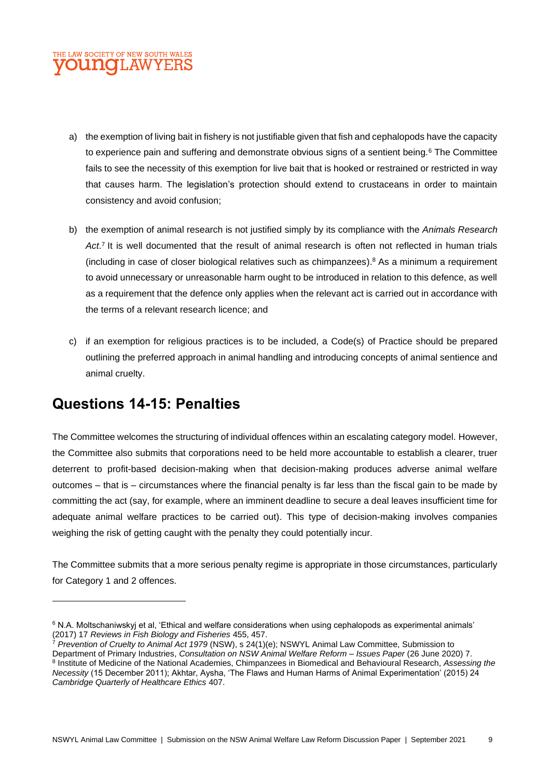#### E LAW SOCIETY OF NEW SOUTH WALES **U.NOLAW**

- a) the exemption of living bait in fishery is not justifiable given that fish and cephalopods have the capacity to experience pain and suffering and demonstrate obvious signs of a sentient being.<sup>6</sup> The Committee fails to see the necessity of this exemption for live bait that is hooked or restrained or restricted in way that causes harm. The legislation's protection should extend to crustaceans in order to maintain consistency and avoid confusion;
- b) the exemption of animal research is not justified simply by its compliance with the *Animals Research Act*. 7 It is well documented that the result of animal research is often not reflected in human trials (including in case of closer biological relatives such as chimpanzees). <sup>8</sup> As a minimum a requirement to avoid unnecessary or unreasonable harm ought to be introduced in relation to this defence, as well as a requirement that the defence only applies when the relevant act is carried out in accordance with the terms of a relevant research licence; and
- c) if an exemption for religious practices is to be included, a Code(s) of Practice should be prepared outlining the preferred approach in animal handling and introducing concepts of animal sentience and animal cruelty.

# **Questions 14-15: Penalties**

The Committee welcomes the structuring of individual offences within an escalating category model. However, the Committee also submits that corporations need to be held more accountable to establish a clearer, truer deterrent to profit-based decision-making when that decision-making produces adverse animal welfare outcomes – that is – circumstances where the financial penalty is far less than the fiscal gain to be made by committing the act (say, for example, where an imminent deadline to secure a deal leaves insufficient time for adequate animal welfare practices to be carried out). This type of decision-making involves companies weighing the risk of getting caught with the penalty they could potentially incur.

The Committee submits that a more serious penalty regime is appropriate in those circumstances, particularly for Category 1 and 2 offences.

<sup>6</sup> N.A. Moltschaniwskyj et al, 'Ethical and welfare considerations when using cephalopods as experimental animals' (2017) 17 *Reviews in Fish Biology and Fisheries* 455, 457.

<sup>7</sup> *Prevention of Cruelty to Animal Act 1979* (NSW), s 24(1)(e); NSWYL Animal Law Committee, Submission to Department of Primary Industries, *Consultation on NSW Animal Welfare Reform – Issues Paper* (26 June 2020) 7. 8 Institute of Medicine of the National Academies, Chimpanzees in Biomedical and Behavioural Research, *Assessing the Necessity* (15 December 2011); Akhtar, Aysha, 'The Flaws and Human Harms of Animal Experimentation' (2015) 24 *Cambridge Quarterly of Healthcare Ethics* 407.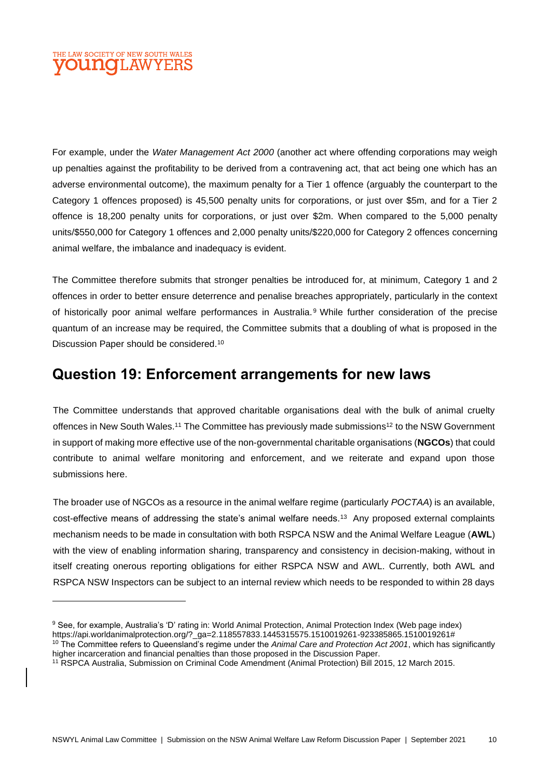#### **IE LAW SOCIETY OF NEW SOUTH WALES DUNCILAW**

For example, under the *Water Management Act 2000* (another act where offending corporations may weigh up penalties against the profitability to be derived from a contravening act, that act being one which has an adverse environmental outcome), the maximum penalty for a Tier 1 offence (arguably the counterpart to the Category 1 offences proposed) is 45,500 penalty units for corporations, or just over \$5m, and for a Tier 2 offence is 18,200 penalty units for corporations, or just over \$2m. When compared to the 5,000 penalty units/\$550,000 for Category 1 offences and 2,000 penalty units/\$220,000 for Category 2 offences concerning animal welfare, the imbalance and inadequacy is evident.

The Committee therefore submits that stronger penalties be introduced for, at minimum, Category 1 and 2 offences in order to better ensure deterrence and penalise breaches appropriately, particularly in the context of historically poor animal welfare performances in Australia. <sup>9</sup> While further consideration of the precise quantum of an increase may be required, the Committee submits that a doubling of what is proposed in the Discussion Paper should be considered.<sup>10</sup>

## **Question 19: Enforcement arrangements for new laws**

The Committee understands that approved charitable organisations deal with the bulk of animal cruelty offences in New South Wales.<sup>11</sup> The Committee has previously made submissions <sup>12</sup> to the NSW Government in support of making more effective use of the non-governmental charitable organisations (**NGCOs**) that could contribute to animal welfare monitoring and enforcement, and we reiterate and expand upon those submissions here.

The broader use of NGCOs as a resource in the animal welfare regime (particularly *POCTAA*) is an available, cost-effective means of addressing the state's animal welfare needs.<sup>13</sup> Any proposed external complaints mechanism needs to be made in consultation with both RSPCA NSW and the Animal Welfare League (**AWL**) with the view of enabling information sharing, transparency and consistency in decision-making, without in itself creating onerous reporting obligations for either RSPCA NSW and AWL. Currently, both AWL and RSPCA NSW Inspectors can be subject to an internal review which needs to be responded to within 28 days

<sup>9</sup> See, for example, Australia's 'D' rating in: World Animal Protection, Animal Protection Index (Web page index) https://api.worldanimalprotection.org/?\_ga=2.118557833.1445315575.1510019261-923385865.1510019261#

<sup>10</sup> The Committee refers to Queensland's regime under the *Animal Care and Protection Act 2001*, which has significantly higher incarceration and financial penalties than those proposed in the Discussion Paper.

<sup>11</sup> RSPCA Australia, Submission on Criminal Code Amendment (Animal Protection) Bill 2015, 12 March 2015.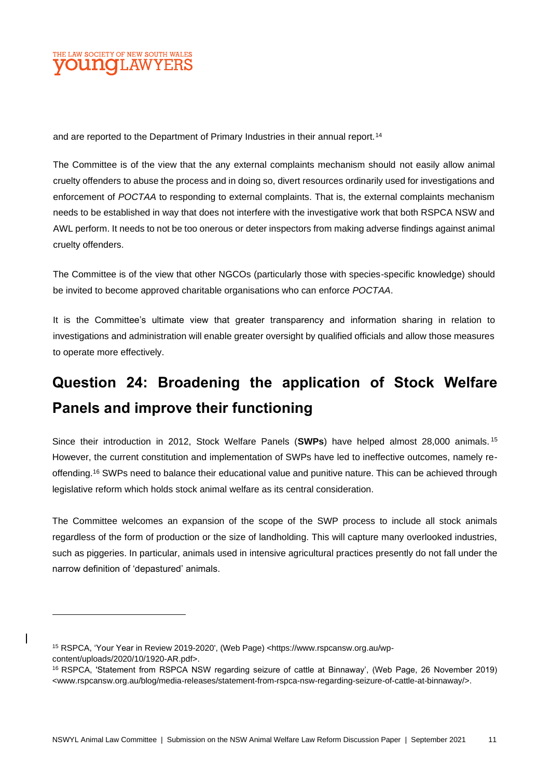

and are reported to the Department of Primary Industries in their annual report.<sup>14</sup>

The Committee is of the view that the any external complaints mechanism should not easily allow animal cruelty offenders to abuse the process and in doing so, divert resources ordinarily used for investigations and enforcement of *POCTAA* to responding to external complaints. That is, the external complaints mechanism needs to be established in way that does not interfere with the investigative work that both RSPCA NSW and AWL perform. It needs to not be too onerous or deter inspectors from making adverse findings against animal cruelty offenders.

The Committee is of the view that other NGCOs (particularly those with species-specific knowledge) should be invited to become approved charitable organisations who can enforce *POCTAA*.

It is the Committee's ultimate view that greater transparency and information sharing in relation to investigations and administration will enable greater oversight by qualified officials and allow those measures to operate more effectively.

# **Question 24: Broadening the application of Stock Welfare Panels and improve their functioning**

Since their introduction in 2012, Stock Welfare Panels (**SWPs**) have helped almost 28,000 animals. <sup>15</sup> However, the current constitution and implementation of SWPs have led to ineffective outcomes, namely reoffending.<sup>16</sup> SWPs need to balance their educational value and punitive nature. This can be achieved through legislative reform which holds stock animal welfare as its central consideration.

The Committee welcomes an expansion of the scope of the SWP process to include all stock animals regardless of the form of production or the size of landholding. This will capture many overlooked industries, such as piggeries. In particular, animals used in intensive agricultural practices presently do not fall under the narrow definition of 'depastured' animals.

<sup>15</sup> RSPCA, 'Your Year in Review 2019-2020', (Web Page) <https://www.rspcansw.org.au/wpcontent/uploads/2020/10/1920-AR.pdf>.

<sup>16</sup> RSPCA, 'Statement from RSPCA NSW regarding seizure of cattle at Binnaway', (Web Page, 26 November 2019) <www.rspcansw.org.au/blog/media-releases/statement-from-rspca-nsw-regarding-seizure-of-cattle-at-binnaway/>.